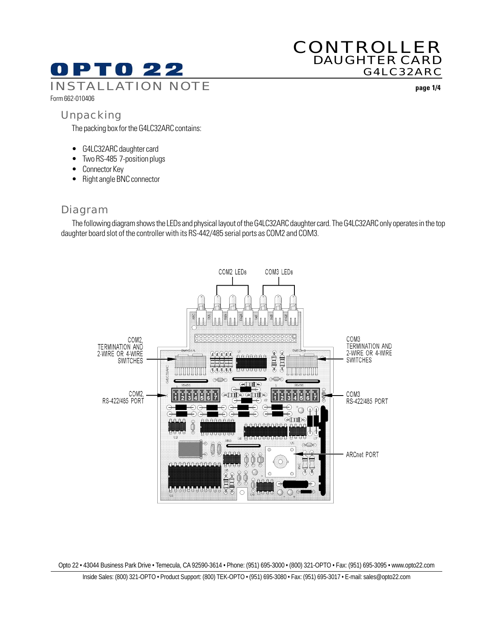# 0 P T 0 22

## CONTROLLER DAUGHTER CARD G4LC32ARC

INSTALLATION NOTE **page 1/4**

## Form 662-010406

## Unpacking

The packing box for the G4LC32ARC contains:

- G4LC32ARC daughter card
- Two RS-485 7-position plugs
- Connector Key
- Right angle BNC connector

## Diagram

The following diagram shows the LEDs and physical layout of the G4LC32ARC daughter card. The G4LC32ARC only operates in the top daughter board slot of the controller with its RS-442/485 serial ports as COM2 and COM3.



Opto 22 • 43044 Business Park Drive • Temecula, CA 92590-3614 • Phone: (951) 695-3000 • (800) 321-OPTO • Fax: (951) 695-3095 • www.opto22.com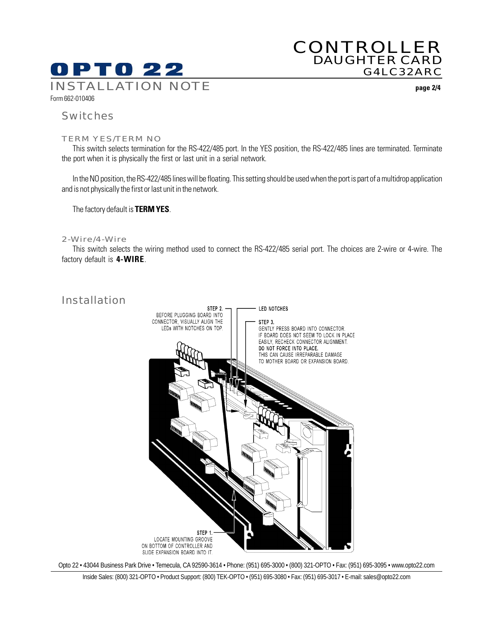

## CONTROLLER DAUGHTER CARD G4LC32ARC

#### Switches

Form 662-010406

#### TERM YES/TERM NO

This switch selects termination for the RS-422/485 port. In the YES position, the RS-422/485 lines are terminated. Terminate the port when it is physically the first or last unit in a serial network.

In the NO position, the RS-422/485 lines will be floating. This setting should be used when the port is part of a multidrop application and is not physically the first or last unit in the network.

The factory default is **TERM YES**.

#### 2-Wire/4-Wire

This switch selects the wiring method used to connect the RS-422/485 serial port. The choices are 2-wire or 4-wire. The factory default is **4-WIRE**.



Opto 22 • 43044 Business Park Drive • Temecula, CA 92590-3614 • Phone: (951) 695-3000 • (800) 321-OPTO • Fax: (951) 695-3095 • www.opto22.com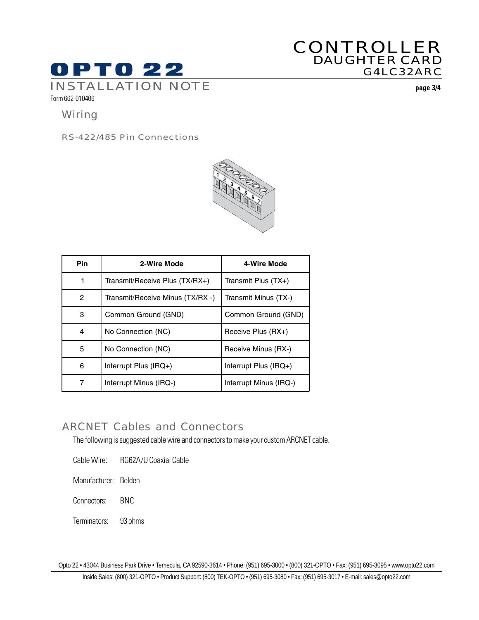

## CONTROLLER DAUGHTER CARD G4LC32ARC

INSTALLATION NOTE **page 3/4**

Form 662-010406

## **Wiring**

RS-422/485 Pin Connections



| <b>Pin</b>   | 2-Wire Mode                      | 4-Wire Mode            |
|--------------|----------------------------------|------------------------|
| 1            | Transmit/Receive Plus (TX/RX+)   | Transmit Plus $(TX+)$  |
| $\mathbf{2}$ | Transmit/Receive Minus (TX/RX -) | Transmit Minus (TX-)   |
| 3            | Common Ground (GND)              | Common Ground (GND)    |
| 4            | No Connection (NC)               | Receive Plus (RX+)     |
| 5            | No Connection (NC)               | Receive Minus (RX-)    |
| 6            | Interrupt Plus (IRQ+)            | Interrupt Plus (IRQ+)  |
| 7            | Interrupt Minus (IRQ-)           | Interrupt Minus (IRQ-) |

## ARCNET Cables and Connectors

The following is suggested cable wire and connectors to make your custom ARCNET cable.

Cable Wire: RG62A/U Coaxial Cable

Manufacturer: Belden

Connectors: BNC

Terminators: 93 ohms

Opto 22 • 43044 Business Park Drive • Temecula, CA 92590-3614 • Phone: (951) 695-3000 • (800) 321-OPTO • Fax: (951) 695-3095 • www.opto22.com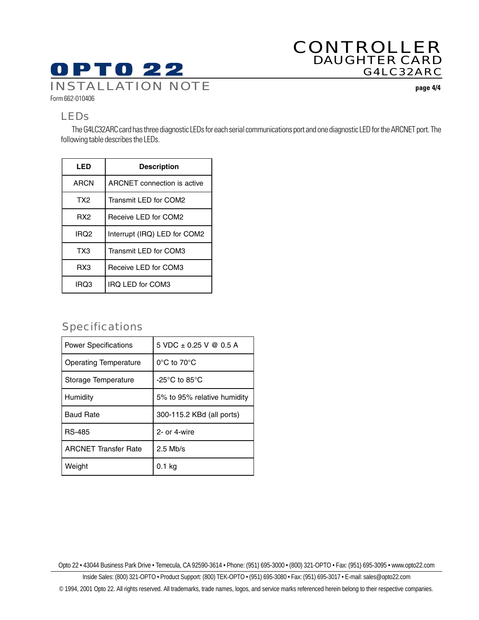## **OPTO 22** INSTALLATION NOTE **page 4/4**

## CONTROLLER DAUGHTER CARD G4LC32ARC

Form 662-010406

## LEDs

The G4LC32ARC card has three diagnostic LEDs for each serial communications port and one diagnostic LED for the ARCNET port. The following table describes the LEDs.

| LED             | <b>Description</b>                 |  |
|-----------------|------------------------------------|--|
| <b>ARCN</b>     | <b>ARCNET</b> connection is active |  |
| TX <sub>2</sub> | Transmit LED for COM2              |  |
| RX <sub>2</sub> | Receive LED for COM2               |  |
| IRQ2            | Interrupt (IRQ) LED for COM2       |  |
| TX3             | Transmit LED for COM3              |  |
| RX3             | Receive LED for COM3               |  |
| IRQ3            | <b>IRQ LED for COM3</b>            |  |

## Specifications

| <b>Power Specifications</b>  | 5 VDC $\pm$ 0.25 V @ 0.5 A                          |
|------------------------------|-----------------------------------------------------|
| <b>Operating Temperature</b> | $0^{\circ}$ C to 70 $^{\circ}$ C                    |
| Storage Temperature          | -25 $\mathrm{^{\circ}C}$ to 85 $\mathrm{^{\circ}C}$ |
| Humidity                     | 5% to 95% relative humidity                         |
| <b>Baud Rate</b>             | 300-115.2 KBd (all ports)                           |
| <b>RS-485</b>                | 2- or 4-wire                                        |
| <b>ARCNET Transfer Rate</b>  | $2.5$ Mb/s                                          |
| Weight                       | 0.1 kg                                              |

Opto 22 • 43044 Business Park Drive • Temecula, CA 92590-3614 • Phone: (951) 695-3000 • (800) 321-OPTO • Fax: (951) 695-3095 • www.opto22.com

Inside Sales: (800) 321-OPTO • Product Support: (800) TEK-OPTO • (951) 695-3080 • Fax: (951) 695-3017 • E-mail: sales@opto22.com

© 1994, 2001 Opto 22. All rights reserved. All trademarks, trade names, logos, and service marks referenced herein belong to their respective companies.